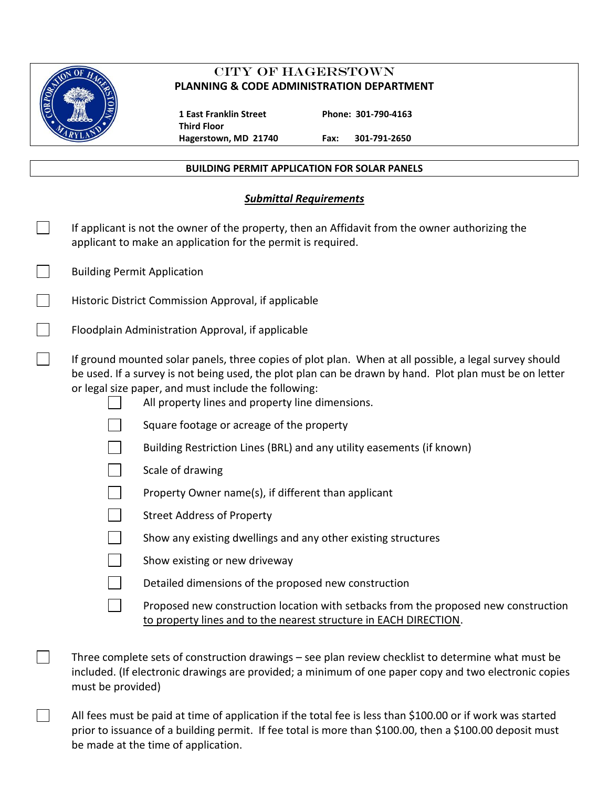

 $\Box$ 

# CITY OF HAGERSTOWN **PLANNING & CODE ADMINISTRATION DEPARTMENT**

 **1 East Franklin Street Phone: 301-790-4163 Third Floor**

**Hagerstown, MD 21740 Fax: 301-791-2650**

### **BUILDING PERMIT APPLICATION FOR SOLAR PANELS**

## *Submittal Requirements*

| If applicant is not the owner of the property, then an Affidavit from the owner authorizing the<br>applicant to make an application for the permit is required.                                                                                                                                                               |                                                                       |  |  |  |
|-------------------------------------------------------------------------------------------------------------------------------------------------------------------------------------------------------------------------------------------------------------------------------------------------------------------------------|-----------------------------------------------------------------------|--|--|--|
| <b>Building Permit Application</b>                                                                                                                                                                                                                                                                                            |                                                                       |  |  |  |
|                                                                                                                                                                                                                                                                                                                               | Historic District Commission Approval, if applicable                  |  |  |  |
|                                                                                                                                                                                                                                                                                                                               | Floodplain Administration Approval, if applicable                     |  |  |  |
| If ground mounted solar panels, three copies of plot plan. When at all possible, a legal survey should<br>be used. If a survey is not being used, the plot plan can be drawn by hand. Plot plan must be on letter<br>or legal size paper, and must include the following:<br>All property lines and property line dimensions. |                                                                       |  |  |  |
|                                                                                                                                                                                                                                                                                                                               | Square footage or acreage of the property                             |  |  |  |
|                                                                                                                                                                                                                                                                                                                               | Building Restriction Lines (BRL) and any utility easements (if known) |  |  |  |
|                                                                                                                                                                                                                                                                                                                               | Scale of drawing                                                      |  |  |  |
|                                                                                                                                                                                                                                                                                                                               | Property Owner name(s), if different than applicant                   |  |  |  |
|                                                                                                                                                                                                                                                                                                                               | <b>Street Address of Property</b>                                     |  |  |  |
|                                                                                                                                                                                                                                                                                                                               | Show any existing dwellings and any other existing structures         |  |  |  |

| the contract of the contract of the |  |  |  |
|-------------------------------------|--|--|--|
|                                     |  |  |  |

|  | Show existing or new driveway |
|--|-------------------------------|
|--|-------------------------------|

Proposed new construction location with setbacks from the proposed new construction to property lines and to the nearest structure in EACH DIRECTION.

Three complete sets of construction drawings – see plan review checklist to determine what must be included. (If electronic drawings are provided; a minimum of one paper copy and two electronic copies must be provided)

All fees must be paid at time of application if the total fee is less than \$100.00 or if work was started prior to issuance of a building permit. If fee total is more than \$100.00, then a \$100.00 deposit must be made at the time of application.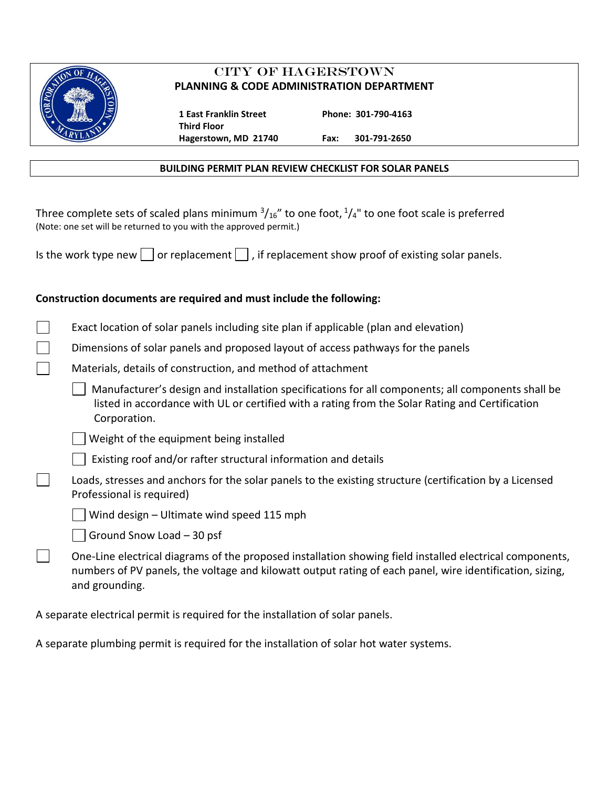

# CITY OF HAGERSTOWN **PLANNING & CODE ADMINISTRATION DEPARTMENT**

 **1 East Franklin Street Phone: 301-790-4163 Third Floor**

**Hagerstown, MD 21740 Fax: 301-791-2650**

### **BUILDING PERMIT PLAN REVIEW CHECKLIST FOR SOLAR PANELS**

Three complete sets of scaled plans minimum  $\frac{3}{16}$ " to one foot,  $\frac{1}{4}$ " to one foot scale is preferred (Note: one set will be returned to you with the approved permit.)

| Is the work type new $\Box$ or replacement $\Box$ , if replacement show proof of existing solar panels. |  |  |  |  |  |  |  |  |  |  |
|---------------------------------------------------------------------------------------------------------|--|--|--|--|--|--|--|--|--|--|
|---------------------------------------------------------------------------------------------------------|--|--|--|--|--|--|--|--|--|--|

## **Construction documents are required and must include the following:**

Dimensions of solar panels and proposed layout of access pathways for the panels

|  |  |  |  | Materials, details of construction, and method of attachment |
|--|--|--|--|--------------------------------------------------------------|
|--|--|--|--|--------------------------------------------------------------|

 Manufacturer's design and installation specifications for all components; all components shall be listed in accordance with UL or certified with a rating from the Solar Rating and Certification Corporation.

Weight of the equipment being installed

Existing roof and/or rafter structural information and details

 $\mathbf{L}$ Loads, stresses and anchors for the solar panels to the existing structure (certification by a Licensed Professional is required)

Wind design – Ultimate wind speed 115 mph

Ground Snow Load – 30 psf

 $\mathcal{L}^{\mathcal{L}}$ One-Line electrical diagrams of the proposed installation showing field installed electrical components, numbers of PV panels, the voltage and kilowatt output rating of each panel, wire identification, sizing, and grounding.

A separate electrical permit is required for the installation of solar panels.

A separate plumbing permit is required for the installation of solar hot water systems.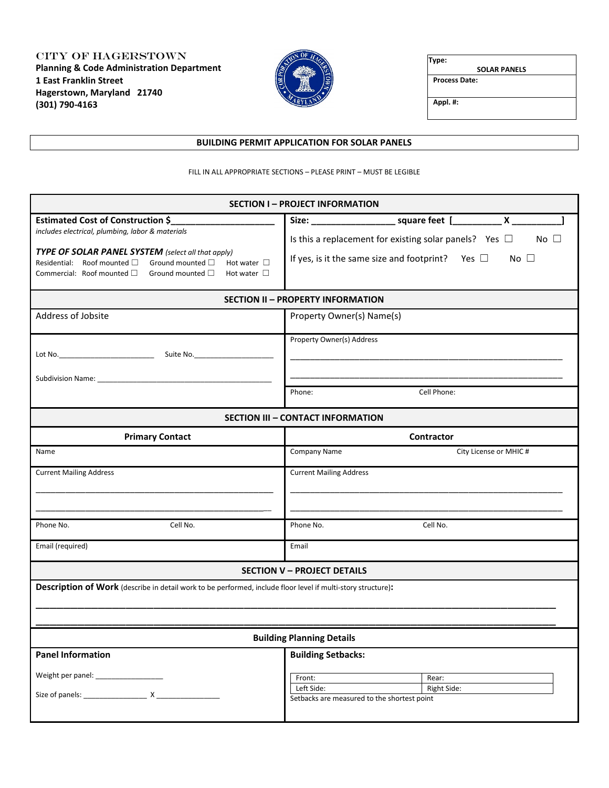City of Hagerstown **Planning & Code Administration Department 1 East Franklin Street Hagerstown, Maryland 21740 (301) 790-4163**



**Type:** 

 **SOLAR PANELS Process Date:**

**Appl. #:**

#### **BUILDING PERMIT APPLICATION FOR SOLAR PANELS**

FILL IN ALL APPROPRIATE SECTIONS – PLEASE PRINT – MUST BE LEGIBLE

| <b>SECTION I - PROJECT INFORMATION</b>                                                                                                                                                                               |                                                                                                                                                      |  |  |  |  |  |
|----------------------------------------------------------------------------------------------------------------------------------------------------------------------------------------------------------------------|------------------------------------------------------------------------------------------------------------------------------------------------------|--|--|--|--|--|
| <b>Estimated Cost of Construction \$</b><br>includes electrical, plumbing, labor & materials                                                                                                                         | Size: ___________________________ square feet [______________ X ___________                                                                          |  |  |  |  |  |
| TYPE OF SOLAR PANEL SYSTEM (select all that apply)<br>Ground mounted $\Box$<br>Residential: Roof mounted □<br>Hot water $\square$<br>Commercial: Roof mounted $\square$<br>Ground mounted $\Box$<br>Hot water $\Box$ | Is this a replacement for existing solar panels? Yes $\Box$<br>No $\square$<br>If yes, is it the same size and footprint? Yes $\Box$<br>No $\square$ |  |  |  |  |  |
|                                                                                                                                                                                                                      | <b>SECTION II - PROPERTY INFORMATION</b>                                                                                                             |  |  |  |  |  |
| Address of Jobsite                                                                                                                                                                                                   | Property Owner(s) Name(s)                                                                                                                            |  |  |  |  |  |
|                                                                                                                                                                                                                      | Property Owner(s) Address                                                                                                                            |  |  |  |  |  |
| Subdivision Name: Name and Subdivision Name and Subdivision Name and Subdivision Name and Subdivision Assembly                                                                                                       |                                                                                                                                                      |  |  |  |  |  |
|                                                                                                                                                                                                                      | Cell Phone:<br>Phone:                                                                                                                                |  |  |  |  |  |
|                                                                                                                                                                                                                      | <b>SECTION III - CONTACT INFORMATION</b>                                                                                                             |  |  |  |  |  |
| <b>Primary Contact</b>                                                                                                                                                                                               | <b>Contractor</b>                                                                                                                                    |  |  |  |  |  |
| Name                                                                                                                                                                                                                 | Company Name<br>City License or MHIC #                                                                                                               |  |  |  |  |  |
| <b>Current Mailing Address</b>                                                                                                                                                                                       | <b>Current Mailing Address</b>                                                                                                                       |  |  |  |  |  |
| Phone No.<br>Cell No.                                                                                                                                                                                                | Phone No.<br>Cell No.                                                                                                                                |  |  |  |  |  |
| Email (required)                                                                                                                                                                                                     | Email                                                                                                                                                |  |  |  |  |  |
|                                                                                                                                                                                                                      | <b>SECTION V - PROJECT DETAILS</b>                                                                                                                   |  |  |  |  |  |
| Description of Work (describe in detail work to be performed, include floor level if multi-story structure):                                                                                                         |                                                                                                                                                      |  |  |  |  |  |
|                                                                                                                                                                                                                      | <b>Building Planning Details</b>                                                                                                                     |  |  |  |  |  |
| <b>Panel Information</b>                                                                                                                                                                                             | <b>Building Setbacks:</b>                                                                                                                            |  |  |  |  |  |
| Weight per panel: Version of the Meridian Contract of the Meridian Contract of the Meridian Contract of the Me                                                                                                       | Front:<br>Rear:<br>Left Side:<br>Right Side:<br>Setbacks are measured to the shortest point                                                          |  |  |  |  |  |
|                                                                                                                                                                                                                      |                                                                                                                                                      |  |  |  |  |  |